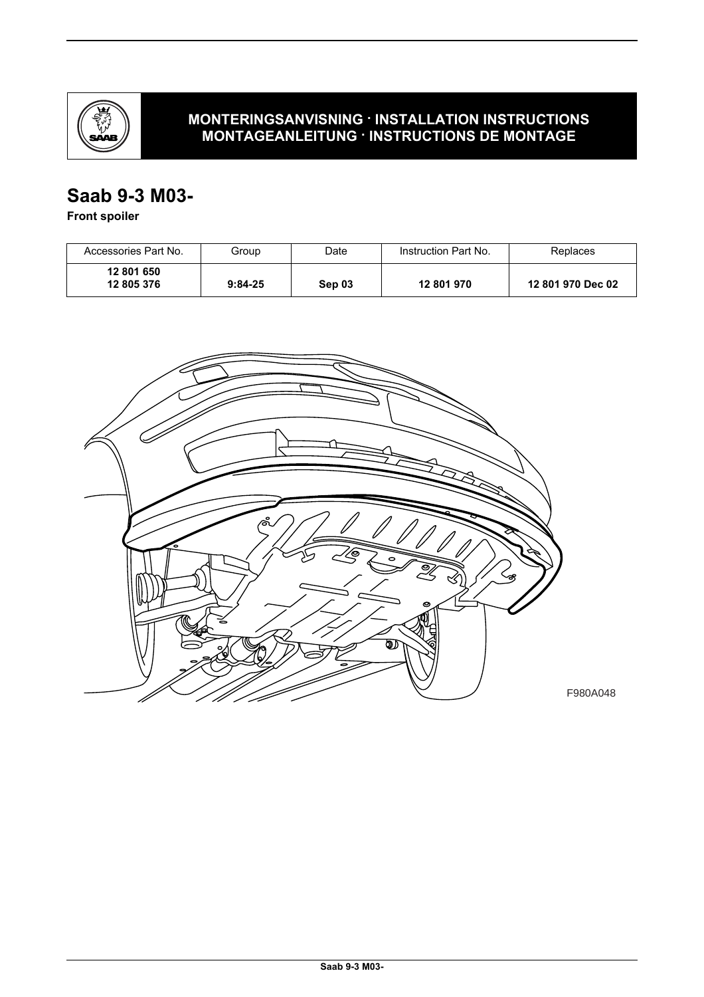

## **MONTERINGSANVISNING · INSTALLATION INSTRUCTIONS MONTAGEANLEITUNG · INSTRUCTIONS DE MONTAGE**

# **Saab 9-3 M03-**

**Front spoiler**

| Accessories Part No.     | Group     | Date   | Instruction Part No. | Replaces          |
|--------------------------|-----------|--------|----------------------|-------------------|
| 12 801 650<br>12 805 376 | $9:84-25$ | Sep 03 | 12 801 970           | 12 801 970 Dec 02 |

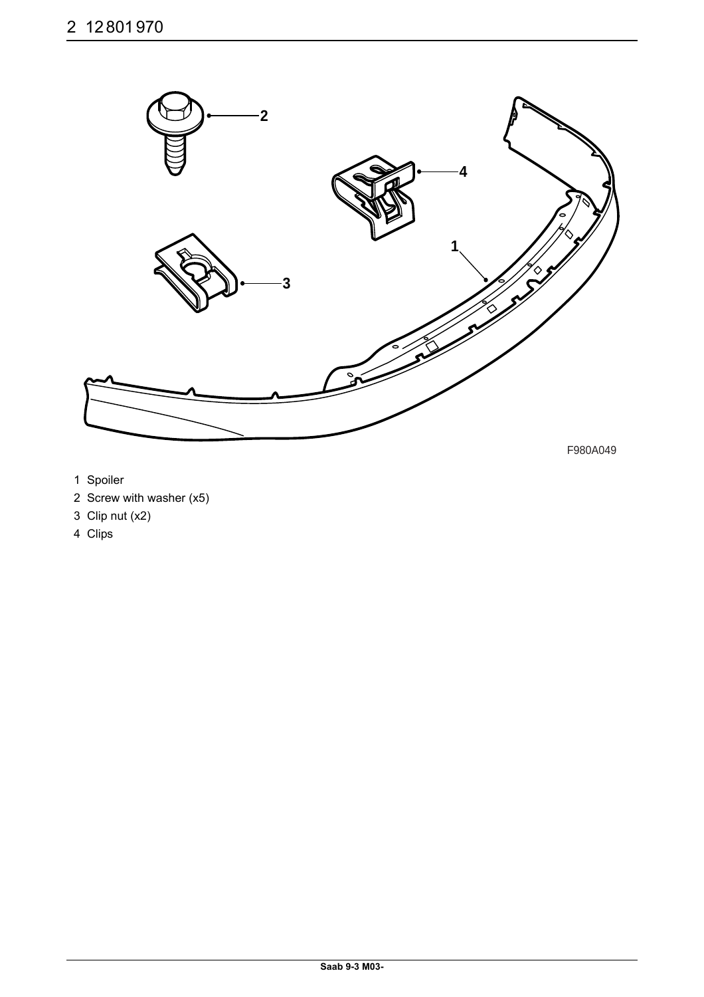

F980A049

- 1 Spoiler
- 2 Screw with washer (x5)
- 3 Clip nut (x2)
- 4 Clips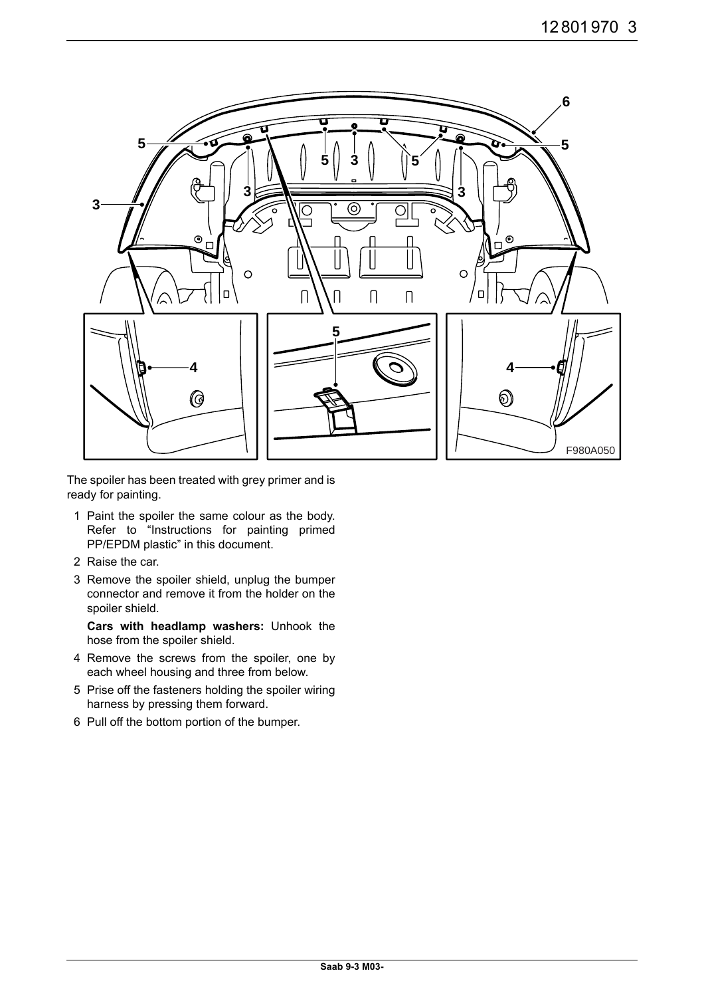

The spoiler has been treated with grey primer and is ready for painting.

- 1 Paint the spoiler the same colour as the body. Refer to "Instructions for painting primed PP/EPDM plastic" in this document.
- 2 Raise the car.
- 3 Remove the spoiler shield, unplug the bumper connector and remove it from the holder on the spoiler shield.

**Cars with headlamp washers:** Unhook the hose from the spoiler shield.

- 4 Remove the screws from the spoiler, one by each wheel housing and three from below.
- 5 Prise off the fasteners holding the spoiler wiring harness by pressing them forward.
- 6 Pull off the bottom portion of the bumper.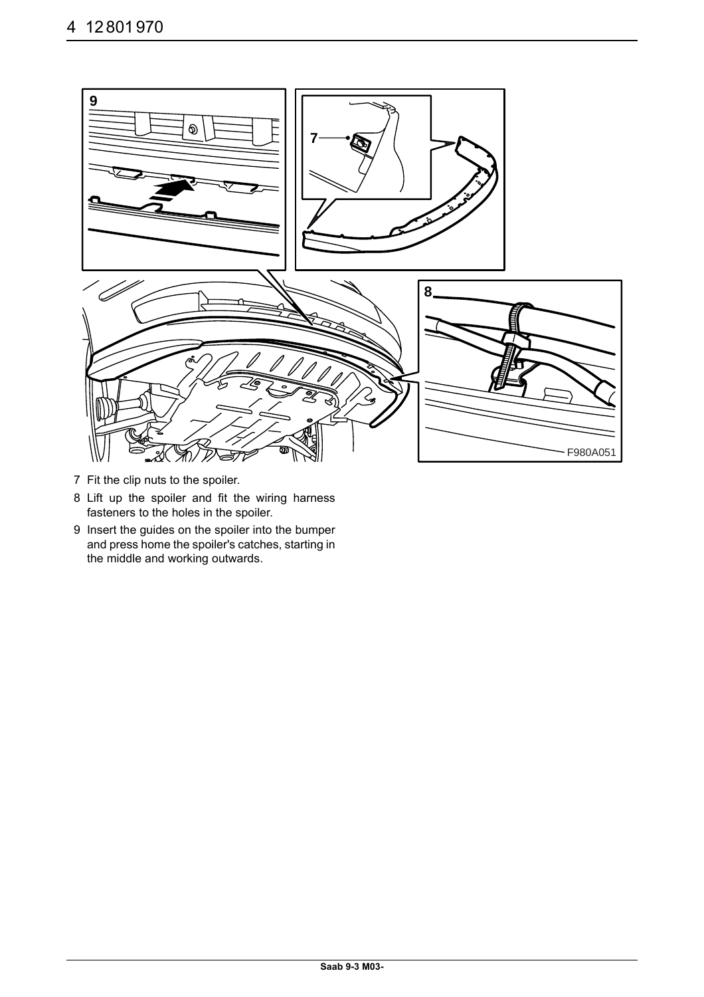

- 7 Fit the clip nuts to the spoiler.
- 8 Lift up the spoiler and fit the wiring harness fasteners to the holes in the spoiler.
- 9 Insert the guides on the spoiler into the bumper and press home the spoiler's catches, starting in the middle and working outwards.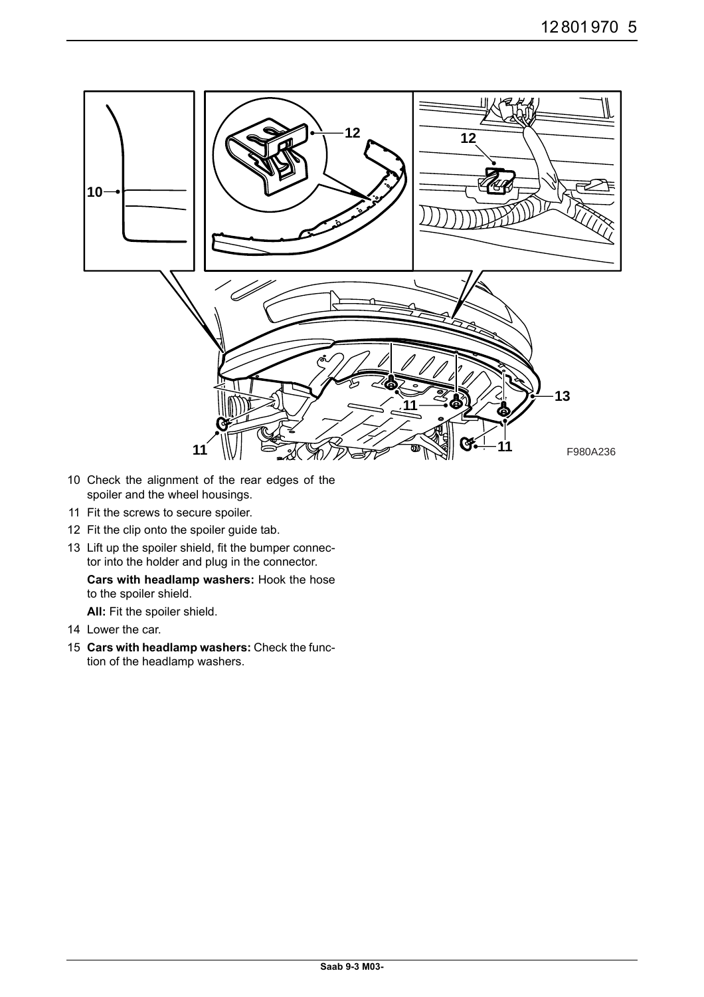

- 10 Check the alignment of the rear edges of the spoiler and the wheel housings.
- 11 Fit the screws to secure spoiler.
- 12 Fit the clip onto the spoiler guide tab.
- 13 Lift up the spoiler shield, fit the bumper connector into the holder and plug in the connector.

#### **Cars with headlamp washers:** Hook the hose to the spoiler shield.

**All:** Fit the spoiler shield.

- 14 Lower the car.
- 15 **Cars with headlamp washers:** Check the function of the headlamp washers.